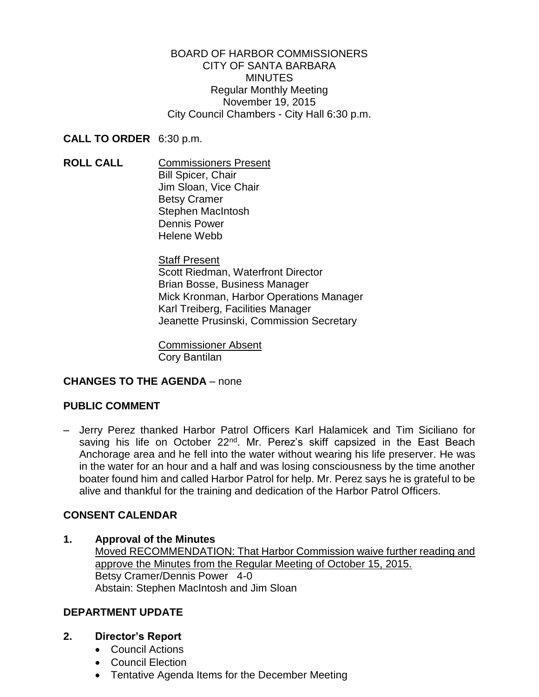BOARD OF HARBOR COMMISSIONERS CITY OF SANTA BARBARA **MINUTES** Regular Monthly Meeting November 19, 2015 City Council Chambers - City Hall 6:30 p.m.

### **CALL TO ORDER** 6:30 p.m.

**ROLL CALL** Commissioners Present Bill Spicer, Chair Jim Sloan, Vice Chair Betsy Cramer Stephen MacIntosh Dennis Power Helene Webb

> **Staff Present** Scott Riedman, Waterfront Director Brian Bosse, Business Manager Mick Kronman, Harbor Operations Manager Karl Treiberg, Facilities Manager Jeanette Prusinski, Commission Secretary

Commissioner Absent Cory Bantilan

# **CHANGES TO THE AGENDA** – none

# **PUBLIC COMMENT**

– Jerry Perez thanked Harbor Patrol Officers Karl Halamicek and Tim Siciliano for saving his life on October 22<sup>nd</sup>. Mr. Perez's skiff capsized in the East Beach Anchorage area and he fell into the water without wearing his life preserver. He was in the water for an hour and a half and was losing consciousness by the time another boater found him and called Harbor Patrol for help. Mr. Perez says he is grateful to be alive and thankful for the training and dedication of the Harbor Patrol Officers.

# **CONSENT CALENDAR**

**1. Approval of the Minutes**  Moved RECOMMENDATION: That Harbor Commission waive further reading and approve the Minutes from the Regular Meeting of October 15, 2015. Betsy Cramer/Dennis Power 4-0 Abstain: Stephen MacIntosh and Jim Sloan

### **DEPARTMENT UPDATE**

- **2. Director's Report**
	- Council Actions
	- Council Election
	- Tentative Agenda Items for the December Meeting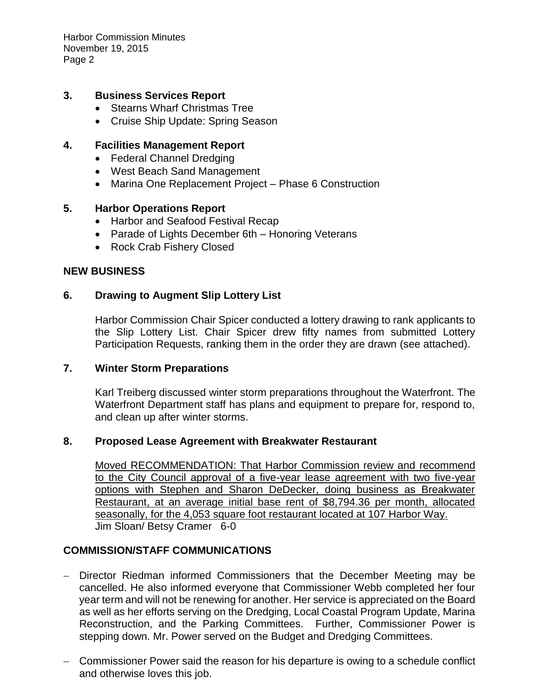Harbor Commission Minutes November 19, 2015 Page 2

#### **3. Business Services Report**

- Stearns Wharf Christmas Tree
- Cruise Ship Update: Spring Season

### **4. Facilities Management Report**

- Federal Channel Dredging
- West Beach Sand Management
- Marina One Replacement Project Phase 6 Construction

#### **5. Harbor Operations Report**

- Harbor and Seafood Festival Recap
- Parade of Lights December 6th Honoring Veterans
- Rock Crab Fishery Closed

#### **NEW BUSINESS**

#### **6. Drawing to Augment Slip Lottery List**

Harbor Commission Chair Spicer conducted a lottery drawing to rank applicants to the Slip Lottery List. Chair Spicer drew fifty names from submitted Lottery Participation Requests, ranking them in the order they are drawn (see attached).

#### **7. Winter Storm Preparations**

Karl Treiberg discussed winter storm preparations throughout the Waterfront. The Waterfront Department staff has plans and equipment to prepare for, respond to, and clean up after winter storms.

#### **8. Proposed Lease Agreement with Breakwater Restaurant**

Moved RECOMMENDATION: That Harbor Commission review and recommend to the City Council approval of a five-year lease agreement with two five-year options with Stephen and Sharon DeDecker, doing business as Breakwater Restaurant, at an average initial base rent of \$8,794.36 per month, allocated seasonally, for the 4,053 square foot restaurant located at 107 Harbor Way. Jim Sloan/ Betsy Cramer 6-0

### **COMMISSION/STAFF COMMUNICATIONS**

- Director Riedman informed Commissioners that the December Meeting may be cancelled. He also informed everyone that Commissioner Webb completed her four year term and will not be renewing for another. Her service is appreciated on the Board as well as her efforts serving on the Dredging, Local Coastal Program Update, Marina Reconstruction, and the Parking Committees. Further, Commissioner Power is stepping down. Mr. Power served on the Budget and Dredging Committees.
- Commissioner Power said the reason for his departure is owing to a schedule conflict and otherwise loves this job.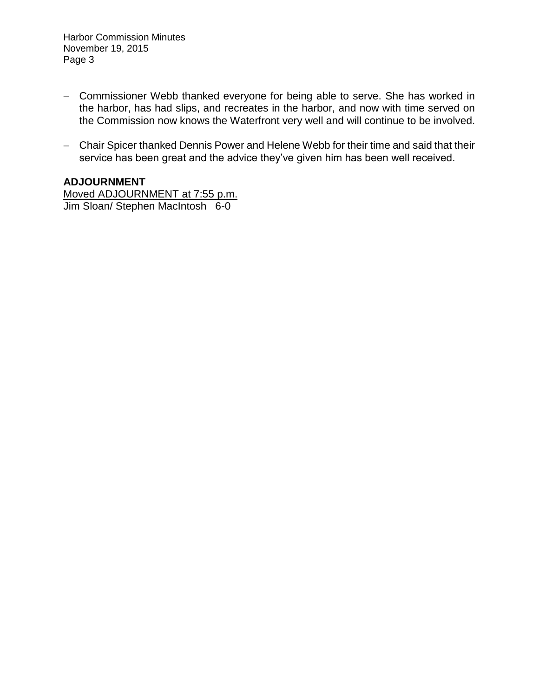Harbor Commission Minutes November 19, 2015 Page 3

- Commissioner Webb thanked everyone for being able to serve. She has worked in the harbor, has had slips, and recreates in the harbor, and now with time served on the Commission now knows the Waterfront very well and will continue to be involved.
- Chair Spicer thanked Dennis Power and Helene Webb for their time and said that their service has been great and the advice they've given him has been well received.

## **ADJOURNMENT**

Moved ADJOURNMENT at 7:55 p.m. Jim Sloan/ Stephen MacIntosh 6-0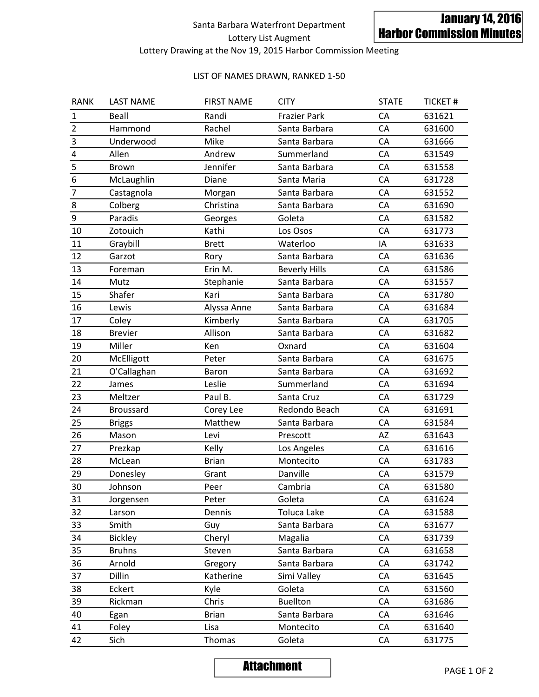# Santa Barbara Waterfront Department Lottery List Augment

## Lottery Drawing at the Nov 19, 2015 Harbor Commission Meeting

#### LIST OF NAMES DRAWN, RANKED 1-50

|                                  |                   |                   | Santa Barbara Waterfront Department<br>Lottery List Augment   |              | <b>January 14, 2016</b><br><b>Harbor Commission Minutes</b> |  |  |  |  |
|----------------------------------|-------------------|-------------------|---------------------------------------------------------------|--------------|-------------------------------------------------------------|--|--|--|--|
|                                  |                   |                   | Lottery Drawing at the Nov 19, 2015 Harbor Commission Meeting |              |                                                             |  |  |  |  |
| LIST OF NAMES DRAWN, RANKED 1-50 |                   |                   |                                                               |              |                                                             |  |  |  |  |
| <b>RANK</b>                      | <b>LAST NAME</b>  | <b>FIRST NAME</b> | <b>CITY</b>                                                   | <b>STATE</b> | <b>TICKET#</b>                                              |  |  |  |  |
| 1                                | Beall             | Randi             | <b>Frazier Park</b>                                           | <b>CA</b>    | 631621                                                      |  |  |  |  |
| $\overline{2}$                   | Hammond           | Rachel            | Santa Barbara                                                 | CA           | 631600                                                      |  |  |  |  |
| $\mathsf 3$                      | Underwood         | Mike              | Santa Barbara                                                 | CA           | 631666                                                      |  |  |  |  |
| $\pmb{4}$                        | Allen             | Andrew            | Summerland                                                    | CA           | 631549                                                      |  |  |  |  |
| 5                                | Brown             | Jennifer          | Santa Barbara                                                 | CA           | 631558                                                      |  |  |  |  |
| $\boldsymbol{6}$                 | McLaughlin        | Diane             | Santa Maria                                                   | CA           | 631728                                                      |  |  |  |  |
| 7                                | Castagnola        | Morgan            | Santa Barbara                                                 | CA           | 631552                                                      |  |  |  |  |
| 8                                | Colberg           | Christina         | Santa Barbara                                                 | CA           | 631690                                                      |  |  |  |  |
| $\boldsymbol{9}$                 | Paradis           | Georges           | Goleta                                                        | CA           | 631582                                                      |  |  |  |  |
| 10                               | Zotouich          | Kathi             | Los Osos                                                      | CA           | 631773                                                      |  |  |  |  |
| 11                               | Graybill          | <b>Brett</b>      | Waterloo                                                      | IA           | 631633                                                      |  |  |  |  |
| 12                               | Garzot            | Rory              | Santa Barbara                                                 | CA           | 631636                                                      |  |  |  |  |
| 13                               | Foreman           | Erin M.           | <b>Beverly Hills</b>                                          | CA           | 631586                                                      |  |  |  |  |
| 14                               | Mutz              | Stephanie         | Santa Barbara                                                 | CA           | 631557                                                      |  |  |  |  |
| 15                               | Shafer            | Kari              | Santa Barbara                                                 | CA           | 631780                                                      |  |  |  |  |
| 16                               | Lewis             | Alyssa Anne       | Santa Barbara                                                 | CA           | 631684                                                      |  |  |  |  |
| 17                               | Coley             | Kimberly          | Santa Barbara                                                 | CA           | 631705                                                      |  |  |  |  |
| 18                               | <b>Brevier</b>    | Allison           | Santa Barbara                                                 | CA           | 631682                                                      |  |  |  |  |
| 19                               | Miller            | Ken               | Oxnard                                                        | CA           | 631604                                                      |  |  |  |  |
| 20                               | McElligott        | Peter             | Santa Barbara                                                 | CA           | 631675                                                      |  |  |  |  |
| 21                               | O'Callaghan       | Baron             | Santa Barbara                                                 | CA           | 631692                                                      |  |  |  |  |
| 22                               | James             | Leslie            | Summerland                                                    | CA           | 631694                                                      |  |  |  |  |
| 23                               | Meltzer           | Paul B.           | Santa Cruz                                                    | CA           | 631729                                                      |  |  |  |  |
| 24                               | Broussard         | Corey Lee         | Redondo Beach                                                 | CA           | 631691                                                      |  |  |  |  |
| 25                               | <b>Briggs</b>     | Matthew           | Santa Barbara                                                 | CA           | 631584                                                      |  |  |  |  |
| 26                               | Mason             | Levi              | Prescott                                                      | AZ           | 631643                                                      |  |  |  |  |
| 27                               | Prezkap           | Kelly             | Los Angeles                                                   | CA           | 631616                                                      |  |  |  |  |
| 28                               | McLean            | <b>Brian</b>      | Montecito                                                     | CA           | 631783                                                      |  |  |  |  |
| 29                               | Donesley          | Grant             | Danville                                                      | CA           | 631579                                                      |  |  |  |  |
| 30                               | Johnson           | Peer              | Cambria                                                       | CA           | 631580                                                      |  |  |  |  |
| 31                               | Jorgensen         | Peter             | Goleta                                                        | CA           | 631624                                                      |  |  |  |  |
| 32                               | Larson            | Dennis            | Toluca Lake                                                   | CA           | 631588                                                      |  |  |  |  |
| 33                               | Smith             | Guy               | Santa Barbara                                                 | CA           | 631677                                                      |  |  |  |  |
| 34                               | <b>Bickley</b>    | Cheryl            | Magalia                                                       | CA           | 631739                                                      |  |  |  |  |
| 35                               | <b>Bruhns</b>     | Steven            | Santa Barbara                                                 | CA           | 631658                                                      |  |  |  |  |
| 36                               | Arnold            | Gregory           | Santa Barbara                                                 | CA           | 631742                                                      |  |  |  |  |
| 37                               | Dillin            | Katherine         | Simi Valley                                                   | CA           | 631645                                                      |  |  |  |  |
| 38                               | Eckert            | Kyle              | Goleta                                                        | CA           | 631560                                                      |  |  |  |  |
| 39                               | Rickman           | Chris             | <b>Buellton</b>                                               | CA           | 631686                                                      |  |  |  |  |
| 40                               | Egan              | <b>Brian</b>      | Santa Barbara                                                 | CA           | 631646                                                      |  |  |  |  |
| 41                               | Foley             | Lisa              | Montecito                                                     | CA           | 631640                                                      |  |  |  |  |
| 42                               | Sich              | Thomas            | Goleta                                                        | CA           | 631775                                                      |  |  |  |  |
|                                  | <b>Attachment</b> |                   |                                                               | PAGE 1 OF 2  |                                                             |  |  |  |  |